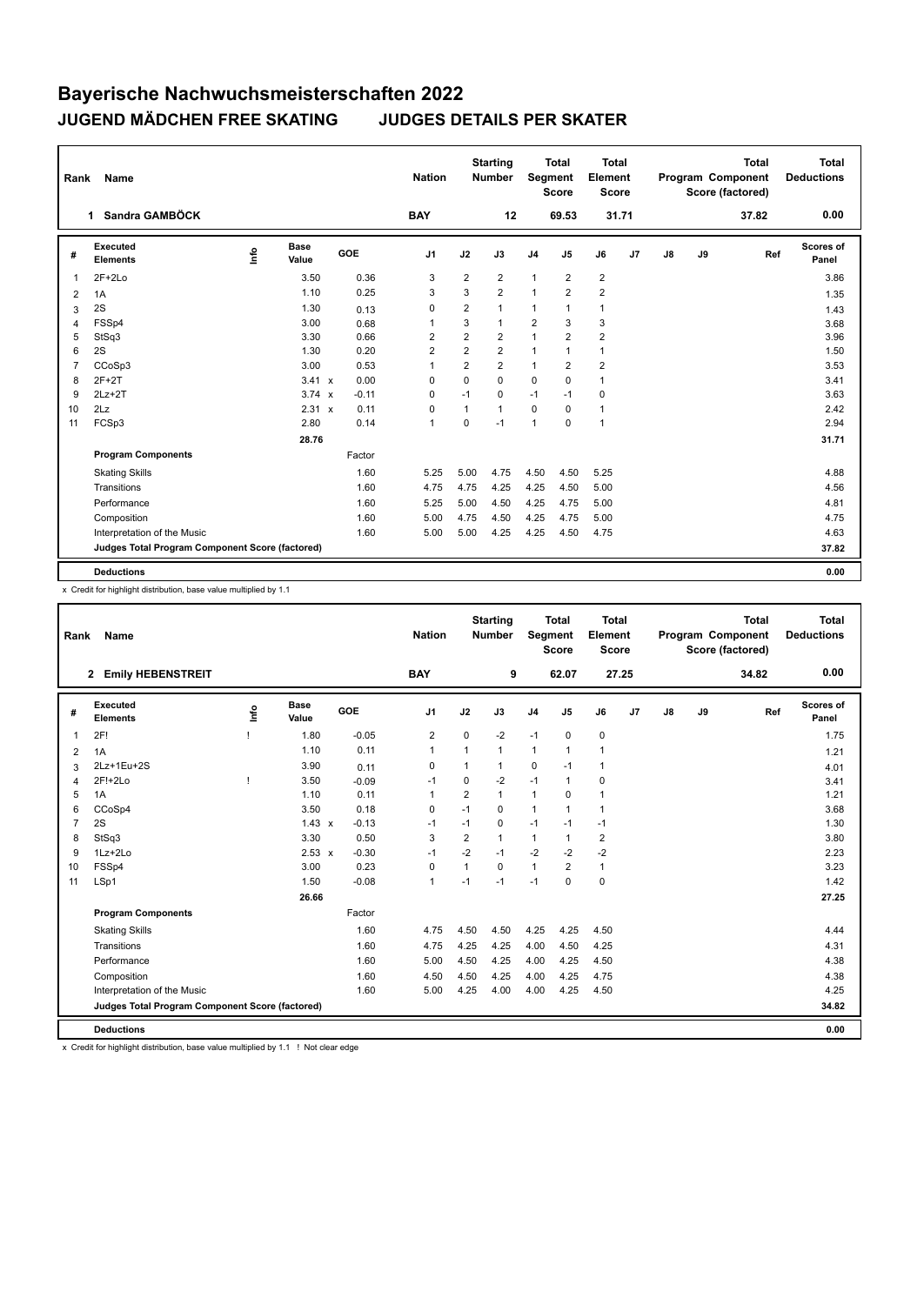| Rank           | <b>Name</b>                                     |      |                      |         | <b>Nation</b>  |                | <b>Starting</b><br><b>Number</b> | Segment        | <b>Total</b><br><b>Score</b> | Total<br>Element<br><b>Score</b> |                |    |    | <b>Total</b><br>Program Component<br>Score (factored) | Total<br><b>Deductions</b> |
|----------------|-------------------------------------------------|------|----------------------|---------|----------------|----------------|----------------------------------|----------------|------------------------------|----------------------------------|----------------|----|----|-------------------------------------------------------|----------------------------|
|                | Sandra GAMBÖCK<br>1.                            |      |                      |         | <b>BAY</b>     |                | 12                               |                | 69.53                        | 31.71                            |                |    |    | 37.82                                                 | 0.00                       |
| #              | Executed<br><b>Elements</b>                     | lnfo | <b>Base</b><br>Value | GOE     | J <sub>1</sub> | J2             | J3                               | J <sub>4</sub> | J <sub>5</sub>               | J6                               | J <sub>7</sub> | J8 | J9 | Ref                                                   | Scores of<br>Panel         |
| $\overline{1}$ | $2F+2Lo$                                        |      | 3.50                 | 0.36    | 3              | $\overline{2}$ | $\overline{2}$                   | $\overline{1}$ | $\overline{2}$               | $\overline{2}$                   |                |    |    |                                                       | 3.86                       |
| 2              | 1A                                              |      | 1.10                 | 0.25    | 3              | 3              | $\overline{2}$                   | $\mathbf{1}$   | $\overline{2}$               | $\overline{2}$                   |                |    |    |                                                       | 1.35                       |
| 3              | 2S                                              |      | 1.30                 | 0.13    | $\mathbf 0$    | $\overline{2}$ | 1                                | $\mathbf{1}$   | $\mathbf{1}$                 | $\mathbf{1}$                     |                |    |    |                                                       | 1.43                       |
| 4              | FSSp4                                           |      | 3.00                 | 0.68    | $\overline{1}$ | 3              | 1                                | $\overline{2}$ | 3                            | 3                                |                |    |    |                                                       | 3.68                       |
| 5              | StSq3                                           |      | 3.30                 | 0.66    | $\overline{2}$ | $\overline{2}$ | $\overline{2}$                   | $\mathbf{1}$   | $\overline{2}$               | $\overline{2}$                   |                |    |    |                                                       | 3.96                       |
| 6              | 2S                                              |      | 1.30                 | 0.20    | $\overline{2}$ | $\overline{2}$ | $\overline{2}$                   | $\mathbf{1}$   | $\mathbf{1}$                 | $\mathbf{1}$                     |                |    |    |                                                       | 1.50                       |
| $\overline{7}$ | CCoSp3                                          |      | 3.00                 | 0.53    | $\overline{1}$ | $\overline{2}$ | $\overline{2}$                   | $\mathbf{1}$   | $\overline{2}$               | $\overline{2}$                   |                |    |    |                                                       | 3.53                       |
| 8              | $2F+2T$                                         |      | 3.41 x               | 0.00    | 0              | 0              | $\Omega$                         | $\mathbf 0$    | 0                            | $\mathbf{1}$                     |                |    |    |                                                       | 3.41                       |
| 9              | $2Lz+2T$                                        |      | $3.74 \times$        | $-0.11$ | 0              | $-1$           | 0                                | $-1$           | $-1$                         | 0                                |                |    |    |                                                       | 3.63                       |
| 10             | 2Lz                                             |      | 2.31 x               | 0.11    | 0              | $\mathbf{1}$   | 1                                | $\mathbf 0$    | 0                            | $\mathbf{1}$                     |                |    |    |                                                       | 2.42                       |
| 11             | FCSp3                                           |      | 2.80                 | 0.14    | $\mathbf{1}$   | $\Omega$       | $-1$                             | $\overline{1}$ | $\mathbf 0$                  | 1                                |                |    |    |                                                       | 2.94                       |
|                |                                                 |      | 28.76                |         |                |                |                                  |                |                              |                                  |                |    |    |                                                       | 31.71                      |
|                | <b>Program Components</b>                       |      |                      | Factor  |                |                |                                  |                |                              |                                  |                |    |    |                                                       |                            |
|                | <b>Skating Skills</b>                           |      |                      | 1.60    | 5.25           | 5.00           | 4.75                             | 4.50           | 4.50                         | 5.25                             |                |    |    |                                                       | 4.88                       |
|                | Transitions                                     |      |                      | 1.60    | 4.75           | 4.75           | 4.25                             | 4.25           | 4.50                         | 5.00                             |                |    |    |                                                       | 4.56                       |
|                | Performance                                     |      |                      | 1.60    | 5.25           | 5.00           | 4.50                             | 4.25           | 4.75                         | 5.00                             |                |    |    |                                                       | 4.81                       |
|                | Composition                                     |      |                      | 1.60    | 5.00           | 4.75           | 4.50                             | 4.25           | 4.75                         | 5.00                             |                |    |    |                                                       | 4.75                       |
|                | Interpretation of the Music                     |      |                      | 1.60    | 5.00           | 5.00           | 4.25                             | 4.25           | 4.50                         | 4.75                             |                |    |    |                                                       | 4.63                       |
|                | Judges Total Program Component Score (factored) |      |                      |         |                |                |                                  |                |                              |                                  |                |    |    |                                                       | 37.82                      |
|                | <b>Deductions</b>                               |      |                      |         |                |                |                                  |                |                              |                                  |                |    |    |                                                       | 0.00                       |

x Credit for highlight distribution, base value multiplied by 1.1

| Rank           | Name                                            |    |                      |         | <b>Nation</b>  |                | <b>Starting</b><br><b>Number</b> | Segment        | <b>Total</b><br><b>Score</b> | <b>Total</b><br>Element<br><b>Score</b> |                |    |    | <b>Total</b><br>Program Component<br>Score (factored) | <b>Total</b><br><b>Deductions</b> |
|----------------|-------------------------------------------------|----|----------------------|---------|----------------|----------------|----------------------------------|----------------|------------------------------|-----------------------------------------|----------------|----|----|-------------------------------------------------------|-----------------------------------|
|                | <b>Emily HEBENSTREIT</b><br>$\mathbf{2}$        |    |                      |         | <b>BAY</b>     |                | 9                                |                | 62.07                        |                                         | 27.25          |    |    | 34.82                                                 | 0.00                              |
| #              | Executed<br><b>Elements</b>                     | ۴ů | <b>Base</b><br>Value | GOE     | J <sub>1</sub> | J2             | J3                               | J <sub>4</sub> | J <sub>5</sub>               | J6                                      | J <sub>7</sub> | J8 | J9 | Ref                                                   | Scores of<br>Panel                |
| 1              | 2F!                                             |    | 1.80                 | $-0.05$ | $\overline{2}$ | $\mathbf 0$    | $-2$                             | $-1$           | $\mathbf 0$                  | $\mathbf 0$                             |                |    |    |                                                       | 1.75                              |
| 2              | 1A                                              |    | 1.10                 | 0.11    | 1              | $\mathbf{1}$   | $\mathbf{1}$                     | 1              | $\overline{1}$               | $\mathbf{1}$                            |                |    |    |                                                       | 1.21                              |
| 3              | 2Lz+1Eu+2S                                      |    | 3.90                 | 0.11    | 0              | 1              | 1                                | 0              | $-1$                         | $\mathbf{1}$                            |                |    |    |                                                       | 4.01                              |
| 4              | 2F!+2Lo                                         |    | 3.50                 | $-0.09$ | $-1$           | $\mathbf 0$    | $-2$                             | $-1$           | $\mathbf{1}$                 | 0                                       |                |    |    |                                                       | 3.41                              |
| 5              | 1A                                              |    | 1.10                 | 0.11    | 1              | $\overline{2}$ | 1                                | $\mathbf{1}$   | $\Omega$                     | $\mathbf{1}$                            |                |    |    |                                                       | 1.21                              |
| 6              | CCoSp4                                          |    | 3.50                 | 0.18    | 0              | $-1$           | $\mathbf 0$                      | $\mathbf{1}$   | $\mathbf{1}$                 | $\mathbf{1}$                            |                |    |    |                                                       | 3.68                              |
| $\overline{7}$ | 2S                                              |    | $1.43 \times$        | $-0.13$ | $-1$           | $-1$           | 0                                | $-1$           | $-1$                         | $-1$                                    |                |    |    |                                                       | 1.30                              |
| 8              | StSq3                                           |    | 3.30                 | 0.50    | 3              | $\overline{2}$ | $\mathbf{1}$                     | $\mathbf{1}$   | $\mathbf{1}$                 | $\overline{2}$                          |                |    |    |                                                       | 3.80                              |
| 9              | 1Lz+2Lo                                         |    | $2.53 \times$        | $-0.30$ | $-1$           | $-2$           | $-1$                             | $-2$           | $-2$                         | $-2$                                    |                |    |    |                                                       | 2.23                              |
| 10             | FSSp4                                           |    | 3.00                 | 0.23    | $\mathbf 0$    | $\mathbf{1}$   | $\Omega$                         | $\mathbf{1}$   | $\overline{2}$               | $\mathbf{1}$                            |                |    |    |                                                       | 3.23                              |
| 11             | LSp1                                            |    | 1.50                 | $-0.08$ | $\mathbf{1}$   | $-1$           | $-1$                             | $-1$           | 0                            | $\mathbf 0$                             |                |    |    |                                                       | 1.42                              |
|                |                                                 |    | 26.66                |         |                |                |                                  |                |                              |                                         |                |    |    |                                                       | 27.25                             |
|                | <b>Program Components</b>                       |    |                      | Factor  |                |                |                                  |                |                              |                                         |                |    |    |                                                       |                                   |
|                | <b>Skating Skills</b>                           |    |                      | 1.60    | 4.75           | 4.50           | 4.50                             | 4.25           | 4.25                         | 4.50                                    |                |    |    |                                                       | 4.44                              |
|                | Transitions                                     |    |                      | 1.60    | 4.75           | 4.25           | 4.25                             | 4.00           | 4.50                         | 4.25                                    |                |    |    |                                                       | 4.31                              |
|                | Performance                                     |    |                      | 1.60    | 5.00           | 4.50           | 4.25                             | 4.00           | 4.25                         | 4.50                                    |                |    |    |                                                       | 4.38                              |
|                | Composition                                     |    |                      | 1.60    | 4.50           | 4.50           | 4.25                             | 4.00           | 4.25                         | 4.75                                    |                |    |    |                                                       | 4.38                              |
|                | Interpretation of the Music                     |    |                      | 1.60    | 5.00           | 4.25           | 4.00                             | 4.00           | 4.25                         | 4.50                                    |                |    |    |                                                       | 4.25                              |
|                | Judges Total Program Component Score (factored) |    |                      |         |                |                |                                  |                |                              |                                         |                |    |    |                                                       | 34.82                             |
|                | <b>Deductions</b>                               |    |                      |         |                |                |                                  |                |                              |                                         |                |    |    |                                                       | 0.00                              |

x Credit for highlight distribution, base value multiplied by 1.1 ! Not clear edge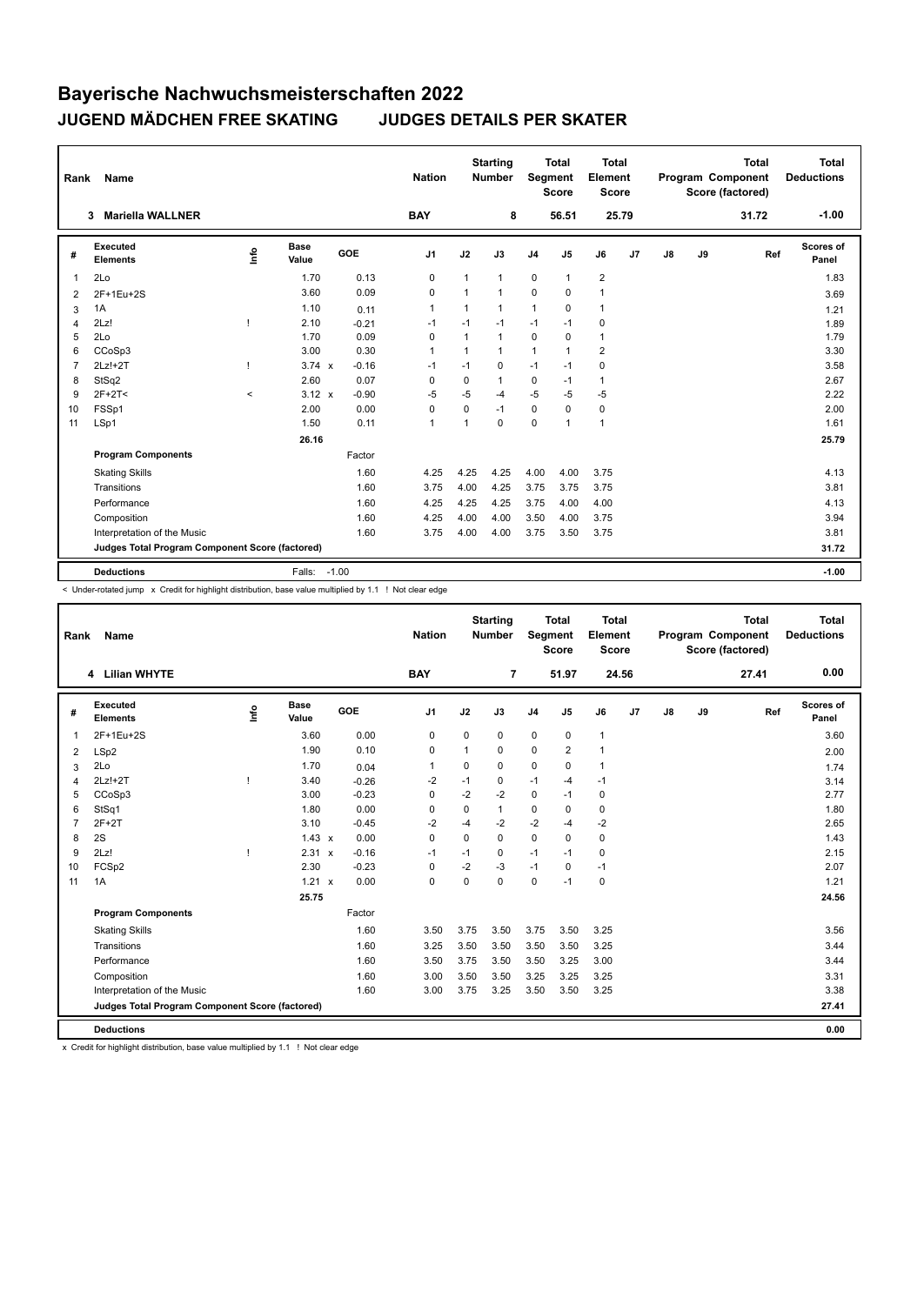| Rank           | Name                                            |                                  |                      |            | <b>Nation</b>  |             | <b>Starting</b><br><b>Number</b> | Segment        | <b>Total</b><br><b>Score</b> | Total<br>Element<br><b>Score</b> |                |               |    | <b>Total</b><br>Program Component<br>Score (factored) | Total<br><b>Deductions</b> |
|----------------|-------------------------------------------------|----------------------------------|----------------------|------------|----------------|-------------|----------------------------------|----------------|------------------------------|----------------------------------|----------------|---------------|----|-------------------------------------------------------|----------------------------|
|                | <b>Mariella WALLNER</b><br>3                    |                                  |                      |            | <b>BAY</b>     |             | 8                                |                | 56.51                        |                                  | 25.79          |               |    | 31.72                                                 | $-1.00$                    |
| #              | Executed<br><b>Elements</b>                     | $\mathop{\mathsf{Int}}\nolimits$ | <b>Base</b><br>Value | <b>GOE</b> | J <sub>1</sub> | J2          | J3                               | J <sub>4</sub> | J <sub>5</sub>               | J6                               | J <sub>7</sub> | $\mathsf{J}8$ | J9 | Ref                                                   | <b>Scores of</b><br>Panel  |
| 1              | 2Lo                                             |                                  | 1.70                 | 0.13       | 0              | 1           | $\mathbf{1}$                     | $\mathbf 0$    | $\mathbf{1}$                 | $\overline{2}$                   |                |               |    |                                                       | 1.83                       |
| $\overline{2}$ | 2F+1Eu+2S                                       |                                  | 3.60                 | 0.09       | 0              | 1           | $\mathbf{1}$                     | $\mathbf 0$    | $\Omega$                     | $\mathbf{1}$                     |                |               |    |                                                       | 3.69                       |
| 3              | 1A                                              |                                  | 1.10                 | 0.11       | $\overline{1}$ | 1           | $\mathbf{1}$                     | $\mathbf{1}$   | 0                            | $\mathbf{1}$                     |                |               |    |                                                       | 1.21                       |
| 4              | 2Lz!                                            |                                  | 2.10                 | $-0.21$    | -1             | $-1$        | $-1$                             | $-1$           | $-1$                         | 0                                |                |               |    |                                                       | 1.89                       |
| 5              | 2Lo                                             |                                  | 1.70                 | 0.09       | $\Omega$       | 1           | $\mathbf{1}$                     | $\mathbf 0$    | $\Omega$                     | $\mathbf{1}$                     |                |               |    |                                                       | 1.79                       |
| 6              | CCoSp3                                          |                                  | 3.00                 | 0.30       | $\overline{1}$ | 1           | $\mathbf{1}$                     | $\mathbf{1}$   | 1                            | $\overline{2}$                   |                |               |    |                                                       | 3.30                       |
| $\overline{7}$ | $2Lz!+2T$                                       |                                  | $3.74 \times$        | $-0.16$    | $-1$           | $-1$        | $\mathbf 0$                      | $-1$           | $-1$                         | $\mathbf 0$                      |                |               |    |                                                       | 3.58                       |
| 8              | StSq2                                           |                                  | 2.60                 | 0.07       | 0              | $\mathbf 0$ | 1                                | $\mathbf 0$    | $-1$                         | $\mathbf{1}$                     |                |               |    |                                                       | 2.67                       |
| 9              | $2F+2T2$                                        | $\,<$                            | $3.12 \times$        | $-0.90$    | $-5$           | $-5$        | $-4$                             | $-5$           | $-5$                         | $-5$                             |                |               |    |                                                       | 2.22                       |
| 10             | FSSp1                                           |                                  | 2.00                 | 0.00       | $\pmb{0}$      | $\Omega$    | $-1$                             | $\mathbf 0$    | 0                            | $\mathbf 0$                      |                |               |    |                                                       | 2.00                       |
| 11             | LSp1                                            |                                  | 1.50                 | 0.11       | $\overline{1}$ | 1           | $\Omega$                         | $\mathbf 0$    | 1                            | $\mathbf{1}$                     |                |               |    |                                                       | 1.61                       |
|                |                                                 |                                  | 26.16                |            |                |             |                                  |                |                              |                                  |                |               |    |                                                       | 25.79                      |
|                | <b>Program Components</b>                       |                                  |                      | Factor     |                |             |                                  |                |                              |                                  |                |               |    |                                                       |                            |
|                | <b>Skating Skills</b>                           |                                  |                      | 1.60       | 4.25           | 4.25        | 4.25                             | 4.00           | 4.00                         | 3.75                             |                |               |    |                                                       | 4.13                       |
|                | Transitions                                     |                                  |                      | 1.60       | 3.75           | 4.00        | 4.25                             | 3.75           | 3.75                         | 3.75                             |                |               |    |                                                       | 3.81                       |
|                | Performance                                     |                                  |                      | 1.60       | 4.25           | 4.25        | 4.25                             | 3.75           | 4.00                         | 4.00                             |                |               |    |                                                       | 4.13                       |
|                | Composition                                     |                                  |                      | 1.60       | 4.25           | 4.00        | 4.00                             | 3.50           | 4.00                         | 3.75                             |                |               |    |                                                       | 3.94                       |
|                | Interpretation of the Music                     |                                  |                      | 1.60       | 3.75           | 4.00        | 4.00                             | 3.75           | 3.50                         | 3.75                             |                |               |    |                                                       | 3.81                       |
|                | Judges Total Program Component Score (factored) |                                  |                      |            |                |             |                                  |                |                              |                                  |                |               |    |                                                       | 31.72                      |
|                | <b>Deductions</b>                               |                                  | Falls:               | $-1.00$    |                |             |                                  |                |                              |                                  |                |               |    |                                                       | $-1.00$                    |

< Under-rotated jump x Credit for highlight distribution, base value multiplied by 1.1 ! Not clear edge

| Rank           | <b>Name</b>                                     |      |                      |         | <b>Nation</b>  |             | <b>Starting</b><br><b>Number</b> | Segment        | <b>Total</b><br><b>Score</b> | <b>Total</b><br>Element<br><b>Score</b> |       |    |    | <b>Total</b><br>Program Component<br>Score (factored) | <b>Total</b><br><b>Deductions</b> |
|----------------|-------------------------------------------------|------|----------------------|---------|----------------|-------------|----------------------------------|----------------|------------------------------|-----------------------------------------|-------|----|----|-------------------------------------------------------|-----------------------------------|
|                | 4 Lilian WHYTE                                  |      |                      |         | <b>BAY</b>     |             | $\overline{7}$                   |                | 51.97                        |                                         | 24.56 |    |    | 27.41                                                 | 0.00                              |
| #              | <b>Executed</b><br><b>Elements</b>              | Info | <b>Base</b><br>Value | GOE     | J <sub>1</sub> | J2          | J3                               | J <sub>4</sub> | J5                           | J6                                      | J7    | J8 | J9 | Ref                                                   | Scores of<br>Panel                |
| 1              | 2F+1Eu+2S                                       |      | 3.60                 | 0.00    | 0              | $\mathbf 0$ | 0                                | $\pmb{0}$      | $\mathbf 0$                  | $\mathbf{1}$                            |       |    |    |                                                       | 3.60                              |
| 2              | LSp2                                            |      | 1.90                 | 0.10    | 0              | 1           | $\Omega$                         | $\mathbf 0$    | $\overline{2}$               | $\mathbf{1}$                            |       |    |    |                                                       | 2.00                              |
| 3              | 2Lo                                             |      | 1.70                 | 0.04    | 1              | 0           | 0                                | $\pmb{0}$      | $\mathbf 0$                  | $\mathbf{1}$                            |       |    |    |                                                       | 1.74                              |
| 4              | $2Lz!+2T$                                       |      | 3.40                 | $-0.26$ | $-2$           | $-1$        | 0                                | $-1$           | $-4$                         | $-1$                                    |       |    |    |                                                       | 3.14                              |
| 5              | CCoSp3                                          |      | 3.00                 | $-0.23$ | 0              | $-2$        | $-2$                             | $\mathbf 0$    | $-1$                         | 0                                       |       |    |    |                                                       | 2.77                              |
| 6              | StSq1                                           |      | 1.80                 | 0.00    | 0              | $\mathbf 0$ | $\mathbf{1}$                     | $\mathbf 0$    | 0                            | $\mathbf 0$                             |       |    |    |                                                       | 1.80                              |
| $\overline{7}$ | $2F+2T$                                         |      | 3.10                 | $-0.45$ | $-2$           | $-4$        | $-2$                             | $-2$           | $-4$                         | $-2$                                    |       |    |    |                                                       | 2.65                              |
| 8              | 2S                                              |      | $1.43 \times$        | 0.00    | $\mathbf 0$    | $\Omega$    | $\Omega$                         | $\mathbf 0$    | $\Omega$                     | $\mathbf 0$                             |       |    |    |                                                       | 1.43                              |
| 9              | 2Lz!                                            |      | 2.31 x               | $-0.16$ | $-1$           | $-1$        | 0                                | $-1$           | $-1$                         | 0                                       |       |    |    |                                                       | 2.15                              |
| 10             | FCSp2                                           |      | 2.30                 | $-0.23$ | $\mathbf 0$    | $-2$        | $-3$                             | $-1$           | 0                            | $-1$                                    |       |    |    |                                                       | 2.07                              |
| 11             | 1A                                              |      | $1.21 \times$        | 0.00    | $\mathbf 0$    | $\mathbf 0$ | 0                                | $\mathbf 0$    | $-1$                         | $\mathbf 0$                             |       |    |    |                                                       | 1.21                              |
|                |                                                 |      | 25.75                |         |                |             |                                  |                |                              |                                         |       |    |    |                                                       | 24.56                             |
|                | <b>Program Components</b>                       |      |                      | Factor  |                |             |                                  |                |                              |                                         |       |    |    |                                                       |                                   |
|                | <b>Skating Skills</b>                           |      |                      | 1.60    | 3.50           | 3.75        | 3.50                             | 3.75           | 3.50                         | 3.25                                    |       |    |    |                                                       | 3.56                              |
|                | Transitions                                     |      |                      | 1.60    | 3.25           | 3.50        | 3.50                             | 3.50           | 3.50                         | 3.25                                    |       |    |    |                                                       | 3.44                              |
|                | Performance                                     |      |                      | 1.60    | 3.50           | 3.75        | 3.50                             | 3.50           | 3.25                         | 3.00                                    |       |    |    |                                                       | 3.44                              |
|                | Composition                                     |      |                      | 1.60    | 3.00           | 3.50        | 3.50                             | 3.25           | 3.25                         | 3.25                                    |       |    |    |                                                       | 3.31                              |
|                | Interpretation of the Music                     |      |                      | 1.60    | 3.00           | 3.75        | 3.25                             | 3.50           | 3.50                         | 3.25                                    |       |    |    |                                                       | 3.38                              |
|                | Judges Total Program Component Score (factored) |      |                      |         |                |             |                                  |                |                              |                                         |       |    |    |                                                       | 27.41                             |
|                | <b>Deductions</b>                               |      |                      |         |                |             |                                  |                |                              |                                         |       |    |    |                                                       | 0.00                              |

x Credit for highlight distribution, base value multiplied by 1.1 ! Not clear edge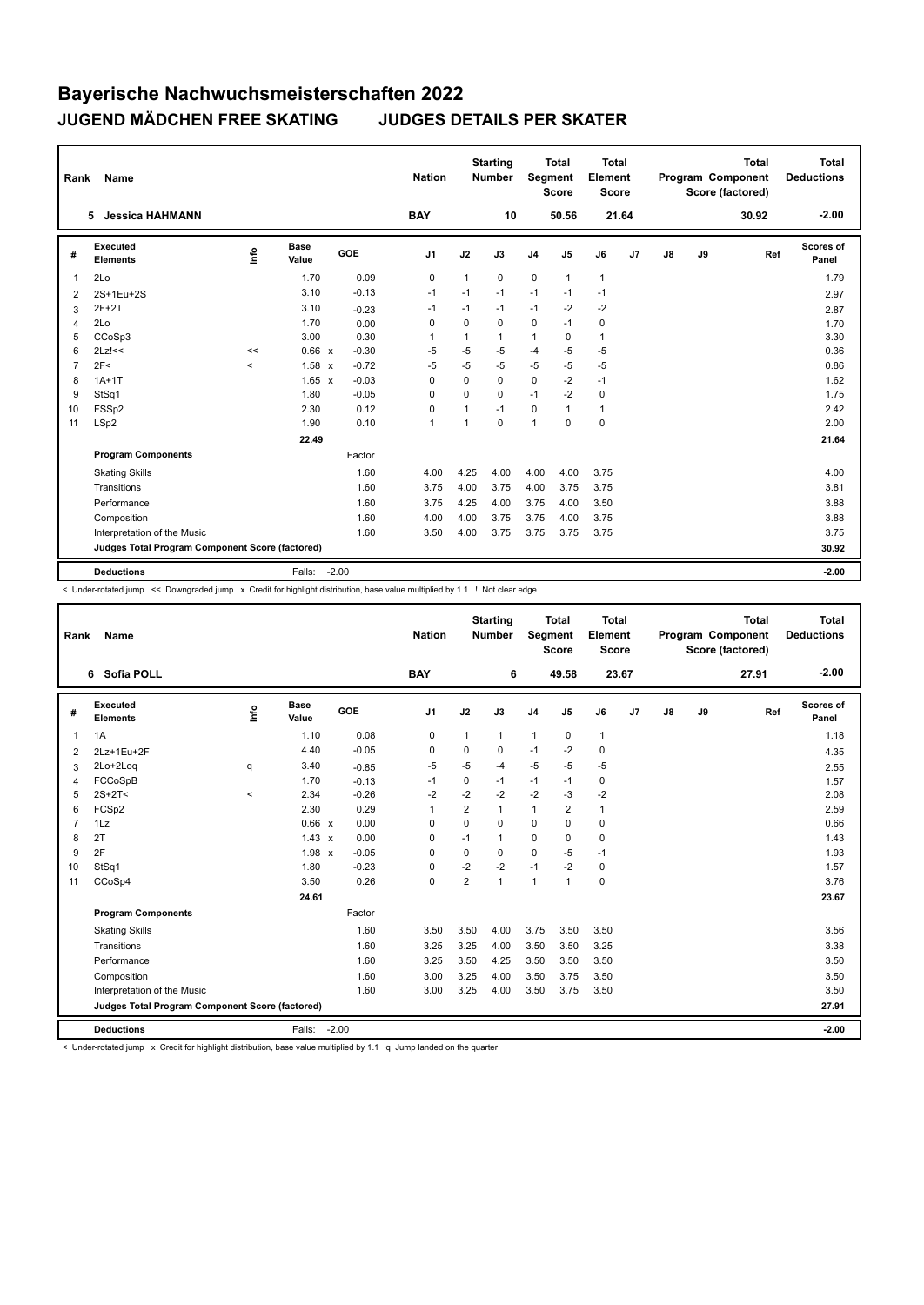| Rank           | Name                                            |       |                      |            | <b>Nation</b>  |              | <b>Starting</b><br><b>Number</b> | Segment        | <b>Total</b><br><b>Score</b> | Total<br>Element<br><b>Score</b> |                |    |    | <b>Total</b><br>Program Component<br>Score (factored) | Total<br><b>Deductions</b> |
|----------------|-------------------------------------------------|-------|----------------------|------------|----------------|--------------|----------------------------------|----------------|------------------------------|----------------------------------|----------------|----|----|-------------------------------------------------------|----------------------------|
|                | <b>Jessica HAHMANN</b><br>5                     |       |                      |            | <b>BAY</b>     |              | 10                               |                | 50.56                        |                                  | 21.64          |    |    | 30.92                                                 | $-2.00$                    |
| #              | Executed<br><b>Elements</b>                     | ۴ů    | <b>Base</b><br>Value | <b>GOE</b> | J <sub>1</sub> | J2           | J3                               | J <sub>4</sub> | J <sub>5</sub>               | J6                               | J <sub>7</sub> | J8 | J9 | Ref                                                   | Scores of<br>Panel         |
| 1              | 2Lo                                             |       | 1.70                 | 0.09       | $\pmb{0}$      | 1            | $\mathbf 0$                      | $\mathbf 0$    | $\mathbf{1}$                 | $\mathbf{1}$                     |                |    |    |                                                       | 1.79                       |
| 2              | 2S+1Eu+2S                                       |       | 3.10                 | $-0.13$    | $-1$           | $-1$         | $-1$                             | $-1$           | $-1$                         | $-1$                             |                |    |    |                                                       | 2.97                       |
| 3              | $2F+2T$                                         |       | 3.10                 | $-0.23$    | $-1$           | $-1$         | $-1$                             | $-1$           | $-2$                         | $-2$                             |                |    |    |                                                       | 2.87                       |
| 4              | 2Lo                                             |       | 1.70                 | 0.00       | 0              | $\mathbf 0$  | $\mathbf 0$                      | $\mathbf 0$    | $-1$                         | $\mathbf 0$                      |                |    |    |                                                       | 1.70                       |
| 5              | CCoSp3                                          |       | 3.00                 | 0.30       | $\overline{1}$ | 1            | 1                                | $\mathbf{1}$   | $\Omega$                     | $\mathbf{1}$                     |                |    |    |                                                       | 3.30                       |
| 6              | $2Lz$ !<<                                       | <<    | 0.66 x               | $-0.30$    | $-5$           | $-5$         | $-5$                             | $-4$           | $-5$                         | $-5$                             |                |    |    |                                                       | 0.36                       |
| $\overline{7}$ | 2F<                                             | $\,<$ | $1.58 \times$        | $-0.72$    | $-5$           | $-5$         | $-5$                             | $-5$           | $-5$                         | $-5$                             |                |    |    |                                                       | 0.86                       |
| 8              | $1A+1T$                                         |       | $1.65 \times$        | $-0.03$    | 0              | $\Omega$     | $\Omega$                         | $\mathbf 0$    | $-2$                         | $-1$                             |                |    |    |                                                       | 1.62                       |
| 9              | StSq1                                           |       | 1.80                 | $-0.05$    | 0              | $\Omega$     | $\Omega$                         | $-1$           | $-2$                         | $\mathbf 0$                      |                |    |    |                                                       | 1.75                       |
| 10             | FSSp2                                           |       | 2.30                 | 0.12       | 0              | $\mathbf{1}$ | $-1$                             | 0              | $\mathbf{1}$                 | $\mathbf{1}$                     |                |    |    |                                                       | 2.42                       |
| 11             | LSp2                                            |       | 1.90                 | 0.10       | $\overline{1}$ | 1            | $\Omega$                         | 1              | 0                            | 0                                |                |    |    |                                                       | 2.00                       |
|                |                                                 |       | 22.49                |            |                |              |                                  |                |                              |                                  |                |    |    |                                                       | 21.64                      |
|                | <b>Program Components</b>                       |       |                      | Factor     |                |              |                                  |                |                              |                                  |                |    |    |                                                       |                            |
|                | <b>Skating Skills</b>                           |       |                      | 1.60       | 4.00           | 4.25         | 4.00                             | 4.00           | 4.00                         | 3.75                             |                |    |    |                                                       | 4.00                       |
|                | Transitions                                     |       |                      | 1.60       | 3.75           | 4.00         | 3.75                             | 4.00           | 3.75                         | 3.75                             |                |    |    |                                                       | 3.81                       |
|                | Performance                                     |       |                      | 1.60       | 3.75           | 4.25         | 4.00                             | 3.75           | 4.00                         | 3.50                             |                |    |    |                                                       | 3.88                       |
|                | Composition                                     |       |                      | 1.60       | 4.00           | 4.00         | 3.75                             | 3.75           | 4.00                         | 3.75                             |                |    |    |                                                       | 3.88                       |
|                | Interpretation of the Music                     |       |                      | 1.60       | 3.50           | 4.00         | 3.75                             | 3.75           | 3.75                         | 3.75                             |                |    |    |                                                       | 3.75                       |
|                | Judges Total Program Component Score (factored) |       |                      |            |                |              |                                  |                |                              |                                  |                |    |    |                                                       | 30.92                      |
|                | <b>Deductions</b>                               |       | Falls:               | $-2.00$    |                |              |                                  |                |                              |                                  |                |    |    |                                                       | $-2.00$                    |

< Under-rotated jump << Downgraded jump x Credit for highlight distribution, base value multiplied by 1.1 ! Not clear edge

| Rank           | Name                                            |                                  |                      |            | <b>Nation</b>  |                | <b>Starting</b><br><b>Number</b> | Segment        | <b>Total</b><br><b>Score</b> | <b>Total</b><br>Element<br><b>Score</b> |       |    |    | <b>Total</b><br>Program Component<br>Score (factored) | <b>Total</b><br><b>Deductions</b> |
|----------------|-------------------------------------------------|----------------------------------|----------------------|------------|----------------|----------------|----------------------------------|----------------|------------------------------|-----------------------------------------|-------|----|----|-------------------------------------------------------|-----------------------------------|
|                | 6 Sofia POLL                                    |                                  |                      |            | <b>BAY</b>     |                | 6                                |                | 49.58                        |                                         | 23.67 |    |    | 27.91                                                 | $-2.00$                           |
| #              | Executed<br><b>Elements</b>                     | $\mathop{\mathsf{Irr}}\nolimits$ | <b>Base</b><br>Value | <b>GOE</b> | J1             | J2             | J3                               | J <sub>4</sub> | J5                           | J6                                      | J7    | J8 | J9 | Ref                                                   | Scores of<br>Panel                |
| 1              | 1A                                              |                                  | 1.10                 | 0.08       | 0              | $\mathbf{1}$   | $\mathbf{1}$                     | $\mathbf{1}$   | 0                            | $\mathbf{1}$                            |       |    |    |                                                       | 1.18                              |
| 2              | 2Lz+1Eu+2F                                      |                                  | 4.40                 | $-0.05$    | 0              | $\Omega$       | $\Omega$                         | $-1$           | $-2$                         | $\mathbf 0$                             |       |    |    |                                                       | 4.35                              |
| 3              | 2Lo+2Loq                                        | q                                | 3.40                 | $-0.85$    | $-5$           | $-5$           | $-4$                             | $-5$           | $-5$                         | $-5$                                    |       |    |    |                                                       | 2.55                              |
| 4              | FCCoSpB                                         |                                  | 1.70                 | $-0.13$    | $-1$           | $\mathbf 0$    | $-1$                             | $-1$           | $-1$                         | $\mathbf 0$                             |       |    |    |                                                       | 1.57                              |
| 5              | $2S+2T<$                                        | $\prec$                          | 2.34                 | $-0.26$    | $-2$           | $-2$           | $-2$                             | $-2$           | $-3$                         | $-2$                                    |       |    |    |                                                       | 2.08                              |
| 6              | FCSp2                                           |                                  | 2.30                 | 0.29       | $\overline{1}$ | $\overline{2}$ | $\mathbf{1}$                     | $\mathbf{1}$   | $\overline{2}$               | $\mathbf{1}$                            |       |    |    |                                                       | 2.59                              |
| $\overline{7}$ | 1Lz                                             |                                  | 0.66 x               | 0.00       | 0              | $\Omega$       | $\Omega$                         | $\Omega$       | $\Omega$                     | $\mathbf 0$                             |       |    |    |                                                       | 0.66                              |
| 8              | 2T                                              |                                  | $1.43 \times$        | 0.00       | $\Omega$       | $-1$           | $\mathbf{1}$                     | $\Omega$       | $\Omega$                     | $\Omega$                                |       |    |    |                                                       | 1.43                              |
| 9              | 2F                                              |                                  | 1.98 x               | $-0.05$    | $\Omega$       | $\Omega$       | $\Omega$                         | $\Omega$       | $-5$                         | $-1$                                    |       |    |    |                                                       | 1.93                              |
| 10             | StSq1                                           |                                  | 1.80                 | $-0.23$    | 0              | $-2$           | $-2$                             | $-1$           | $-2$                         | $\mathbf 0$                             |       |    |    |                                                       | 1.57                              |
| 11             | CCoSp4                                          |                                  | 3.50                 | 0.26       | 0              | 2              | $\mathbf{1}$                     | $\mathbf{1}$   | $\mathbf{1}$                 | 0                                       |       |    |    |                                                       | 3.76                              |
|                |                                                 |                                  | 24.61                |            |                |                |                                  |                |                              |                                         |       |    |    |                                                       | 23.67                             |
|                | <b>Program Components</b>                       |                                  |                      | Factor     |                |                |                                  |                |                              |                                         |       |    |    |                                                       |                                   |
|                | <b>Skating Skills</b>                           |                                  |                      | 1.60       | 3.50           | 3.50           | 4.00                             | 3.75           | 3.50                         | 3.50                                    |       |    |    |                                                       | 3.56                              |
|                | Transitions                                     |                                  |                      | 1.60       | 3.25           | 3.25           | 4.00                             | 3.50           | 3.50                         | 3.25                                    |       |    |    |                                                       | 3.38                              |
|                | Performance                                     |                                  |                      | 1.60       | 3.25           | 3.50           | 4.25                             | 3.50           | 3.50                         | 3.50                                    |       |    |    |                                                       | 3.50                              |
|                | Composition                                     |                                  |                      | 1.60       | 3.00           | 3.25           | 4.00                             | 3.50           | 3.75                         | 3.50                                    |       |    |    |                                                       | 3.50                              |
|                | Interpretation of the Music                     |                                  |                      | 1.60       | 3.00           | 3.25           | 4.00                             | 3.50           | 3.75                         | 3.50                                    |       |    |    |                                                       | 3.50                              |
|                | Judges Total Program Component Score (factored) |                                  |                      |            |                |                |                                  |                |                              |                                         |       |    |    |                                                       | 27.91                             |
|                | <b>Deductions</b>                               |                                  | Falls:               | $-2.00$    |                |                |                                  |                |                              |                                         |       |    |    |                                                       | $-2.00$                           |

< Under-rotated jump x Credit for highlight distribution, base value multiplied by 1.1 q Jump landed on the quarter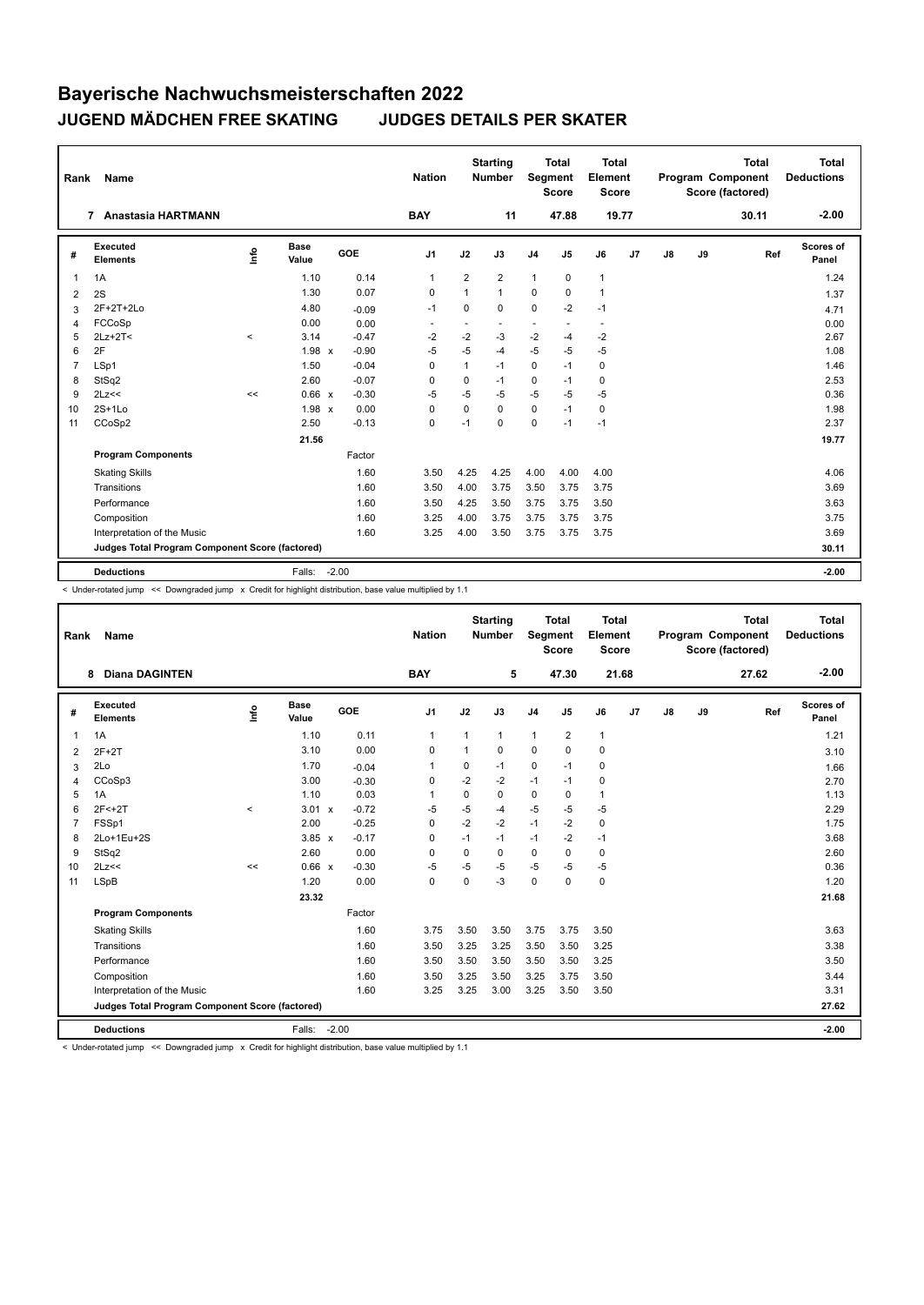| Rank           | <b>Name</b>                                     |         |                      |            | <b>Nation</b>  |                | <b>Starting</b><br><b>Number</b> | Segment        | <b>Total</b><br><b>Score</b> | Total<br>Element<br><b>Score</b> |    |    |    | <b>Total</b><br>Program Component<br>Score (factored) | Total<br><b>Deductions</b> |
|----------------|-------------------------------------------------|---------|----------------------|------------|----------------|----------------|----------------------------------|----------------|------------------------------|----------------------------------|----|----|----|-------------------------------------------------------|----------------------------|
|                | Anastasia HARTMANN<br>7                         |         |                      |            | <b>BAY</b>     |                | 11                               |                | 47.88                        | 19.77                            |    |    |    | 30.11                                                 | $-2.00$                    |
| #              | Executed<br><b>Elements</b>                     | lnfo    | <b>Base</b><br>Value | <b>GOE</b> | J <sub>1</sub> | J2             | J3                               | J <sub>4</sub> | J5                           | J6                               | J7 | J8 | J9 | Ref                                                   | <b>Scores of</b><br>Panel  |
| $\overline{1}$ | 1A                                              |         | 1.10                 | 0.14       | $\mathbf{1}$   | $\overline{2}$ | $\overline{2}$                   | $\mathbf{1}$   | $\mathbf 0$                  | $\mathbf{1}$                     |    |    |    |                                                       | 1.24                       |
| 2              | 2S                                              |         | 1.30                 | 0.07       | 0              | 1              | 1                                | $\mathbf 0$    | $\Omega$                     | $\mathbf{1}$                     |    |    |    |                                                       | 1.37                       |
| 3              | 2F+2T+2Lo                                       |         | 4.80                 | $-0.09$    | $-1$           | $\mathbf 0$    | 0                                | $\mathbf 0$    | $-2$                         | $-1$                             |    |    |    |                                                       | 4.71                       |
| $\overline{4}$ | FCCoSp                                          |         | 0.00                 | 0.00       |                |                |                                  | ٠              |                              | $\blacksquare$                   |    |    |    |                                                       | 0.00                       |
| 5              | $2Lz+2T<$                                       | $\prec$ | 3.14                 | $-0.47$    | $-2$           | $-2$           | $-3$                             | $-2$           | $-4$                         | $-2$                             |    |    |    |                                                       | 2.67                       |
| 6              | 2F                                              |         | 1.98 x               | $-0.90$    | $-5$           | $-5$           | $-4$                             | $-5$           | $-5$                         | $-5$                             |    |    |    |                                                       | 1.08                       |
| $\overline{7}$ | LSp1                                            |         | 1.50                 | $-0.04$    | $\mathbf 0$    | $\mathbf{1}$   | $-1$                             | $\mathbf 0$    | $-1$                         | $\mathbf 0$                      |    |    |    |                                                       | 1.46                       |
| 8              | StSq2                                           |         | 2.60                 | $-0.07$    | $\mathbf 0$    | 0              | $-1$                             | $\mathbf 0$    | $-1$                         | 0                                |    |    |    |                                                       | 2.53                       |
| 9              | 2Lz<<                                           | <<      | 0.66 x               | $-0.30$    | $-5$           | $-5$           | $-5$                             | $-5$           | $-5$                         | $-5$                             |    |    |    |                                                       | 0.36                       |
| 10             | $2S+1Lo$                                        |         | 1.98 x               | 0.00       | $\mathbf 0$    | 0              | $\Omega$                         | $\mathbf 0$    | $-1$                         | 0                                |    |    |    |                                                       | 1.98                       |
| 11             | CCoSp2                                          |         | 2.50                 | $-0.13$    | $\mathbf 0$    | $-1$           | $\Omega$                         | $\mathbf 0$    | $-1$                         | $-1$                             |    |    |    |                                                       | 2.37                       |
|                |                                                 |         | 21.56                |            |                |                |                                  |                |                              |                                  |    |    |    |                                                       | 19.77                      |
|                | <b>Program Components</b>                       |         |                      | Factor     |                |                |                                  |                |                              |                                  |    |    |    |                                                       |                            |
|                | <b>Skating Skills</b>                           |         |                      | 1.60       | 3.50           | 4.25           | 4.25                             | 4.00           | 4.00                         | 4.00                             |    |    |    |                                                       | 4.06                       |
|                | Transitions                                     |         |                      | 1.60       | 3.50           | 4.00           | 3.75                             | 3.50           | 3.75                         | 3.75                             |    |    |    |                                                       | 3.69                       |
|                | Performance                                     |         |                      | 1.60       | 3.50           | 4.25           | 3.50                             | 3.75           | 3.75                         | 3.50                             |    |    |    |                                                       | 3.63                       |
|                | Composition                                     |         |                      | 1.60       | 3.25           | 4.00           | 3.75                             | 3.75           | 3.75                         | 3.75                             |    |    |    |                                                       | 3.75                       |
|                | Interpretation of the Music                     |         |                      | 1.60       | 3.25           | 4.00           | 3.50                             | 3.75           | 3.75                         | 3.75                             |    |    |    |                                                       | 3.69                       |
|                | Judges Total Program Component Score (factored) |         |                      |            |                |                |                                  |                |                              |                                  |    |    |    |                                                       | 30.11                      |
|                | <b>Deductions</b>                               |         | Falls:               | $-2.00$    |                |                |                                  |                |                              |                                  |    |    |    |                                                       | $-2.00$                    |

< Under-rotated jump << Downgraded jump x Credit for highlight distribution, base value multiplied by 1.1

| Rank           | Name                                            |         |                      |         | <b>Nation</b>  |          | <b>Starting</b><br><b>Number</b> | Segment        | <b>Total</b><br><b>Score</b> | Total<br>Element<br>Score |    |               |    | <b>Total</b><br>Program Component<br>Score (factored) | <b>Total</b><br><b>Deductions</b> |
|----------------|-------------------------------------------------|---------|----------------------|---------|----------------|----------|----------------------------------|----------------|------------------------------|---------------------------|----|---------------|----|-------------------------------------------------------|-----------------------------------|
|                | <b>Diana DAGINTEN</b><br>8                      |         |                      |         | <b>BAY</b>     |          | 5                                |                | 47.30                        | 21.68                     |    |               |    | 27.62                                                 | $-2.00$                           |
| #              | Executed<br><b>Elements</b>                     | Info    | <b>Base</b><br>Value | GOE     | J <sub>1</sub> | J2       | J3                               | J <sub>4</sub> | J5                           | J6                        | J7 | $\mathsf{J}8$ | J9 | Ref                                                   | Scores of<br>Panel                |
| 1              | 1A                                              |         | 1.10                 | 0.11    | $\mathbf 1$    | 1        | $\mathbf{1}$                     | $\mathbf{1}$   | $\overline{2}$               | $\mathbf{1}$              |    |               |    |                                                       | 1.21                              |
| 2              | $2F+2T$                                         |         | 3.10                 | 0.00    | 0              | 1        | 0                                | 0              | 0                            | $\mathbf 0$               |    |               |    |                                                       | 3.10                              |
| 3              | 2Lo                                             |         | 1.70                 | $-0.04$ | 1              | $\Omega$ | $-1$                             | $\mathbf 0$    | $-1$                         | $\mathbf 0$               |    |               |    |                                                       | 1.66                              |
| 4              | CCoSp3                                          |         | 3.00                 | $-0.30$ | $\mathbf 0$    | $-2$     | $-2$                             | $-1$           | $-1$                         | $\mathbf 0$               |    |               |    |                                                       | 2.70                              |
| 5              | 1A                                              |         | 1.10                 | 0.03    | 1              | 0        | 0                                | $\mathbf 0$    | 0                            | $\mathbf{1}$              |    |               |    |                                                       | 1.13                              |
| 6              | $2F < +2T$                                      | $\prec$ | $3.01 \times$        | $-0.72$ | $-5$           | $-5$     | $-4$                             | $-5$           | $-5$                         | $-5$                      |    |               |    |                                                       | 2.29                              |
| $\overline{7}$ | FSSp1                                           |         | 2.00                 | $-0.25$ | $\mathbf 0$    | $-2$     | $-2$                             | $-1$           | $-2$                         | $\mathbf 0$               |    |               |    |                                                       | 1.75                              |
| 8              | 2Lo+1Eu+2S                                      |         | $3.85 \times$        | $-0.17$ | 0              | $-1$     | $-1$                             | $-1$           | $-2$                         | $-1$                      |    |               |    |                                                       | 3.68                              |
| 9              | StSq2                                           |         | 2.60                 | 0.00    | $\Omega$       | $\Omega$ | $\Omega$                         | $\Omega$       | 0                            | $\mathbf 0$               |    |               |    |                                                       | 2.60                              |
| 10             | 2Lz<<                                           | <<      | 0.66 x               | $-0.30$ | $-5$           | $-5$     | $-5$                             | $-5$           | $-5$                         | $-5$                      |    |               |    |                                                       | 0.36                              |
| 11             | <b>LSpB</b>                                     |         | 1.20                 | 0.00    | $\mathbf 0$    | 0        | $-3$                             | $\pmb{0}$      | 0                            | 0                         |    |               |    |                                                       | 1.20                              |
|                |                                                 |         | 23.32                |         |                |          |                                  |                |                              |                           |    |               |    |                                                       | 21.68                             |
|                | <b>Program Components</b>                       |         |                      | Factor  |                |          |                                  |                |                              |                           |    |               |    |                                                       |                                   |
|                | <b>Skating Skills</b>                           |         |                      | 1.60    | 3.75           | 3.50     | 3.50                             | 3.75           | 3.75                         | 3.50                      |    |               |    |                                                       | 3.63                              |
|                | Transitions                                     |         |                      | 1.60    | 3.50           | 3.25     | 3.25                             | 3.50           | 3.50                         | 3.25                      |    |               |    |                                                       | 3.38                              |
|                | Performance                                     |         |                      | 1.60    | 3.50           | 3.50     | 3.50                             | 3.50           | 3.50                         | 3.25                      |    |               |    |                                                       | 3.50                              |
|                | Composition                                     |         |                      | 1.60    | 3.50           | 3.25     | 3.50                             | 3.25           | 3.75                         | 3.50                      |    |               |    |                                                       | 3.44                              |
|                | Interpretation of the Music                     |         |                      | 1.60    | 3.25           | 3.25     | 3.00                             | 3.25           | 3.50                         | 3.50                      |    |               |    |                                                       | 3.31                              |
|                | Judges Total Program Component Score (factored) |         |                      |         |                |          |                                  |                |                              |                           |    |               |    |                                                       | 27.62                             |
|                | <b>Deductions</b>                               |         | Falls:               | $-2.00$ |                |          |                                  |                |                              |                           |    |               |    |                                                       | $-2.00$                           |

< Under-rotated jump << Downgraded jump x Credit for highlight distribution, base value multiplied by 1.1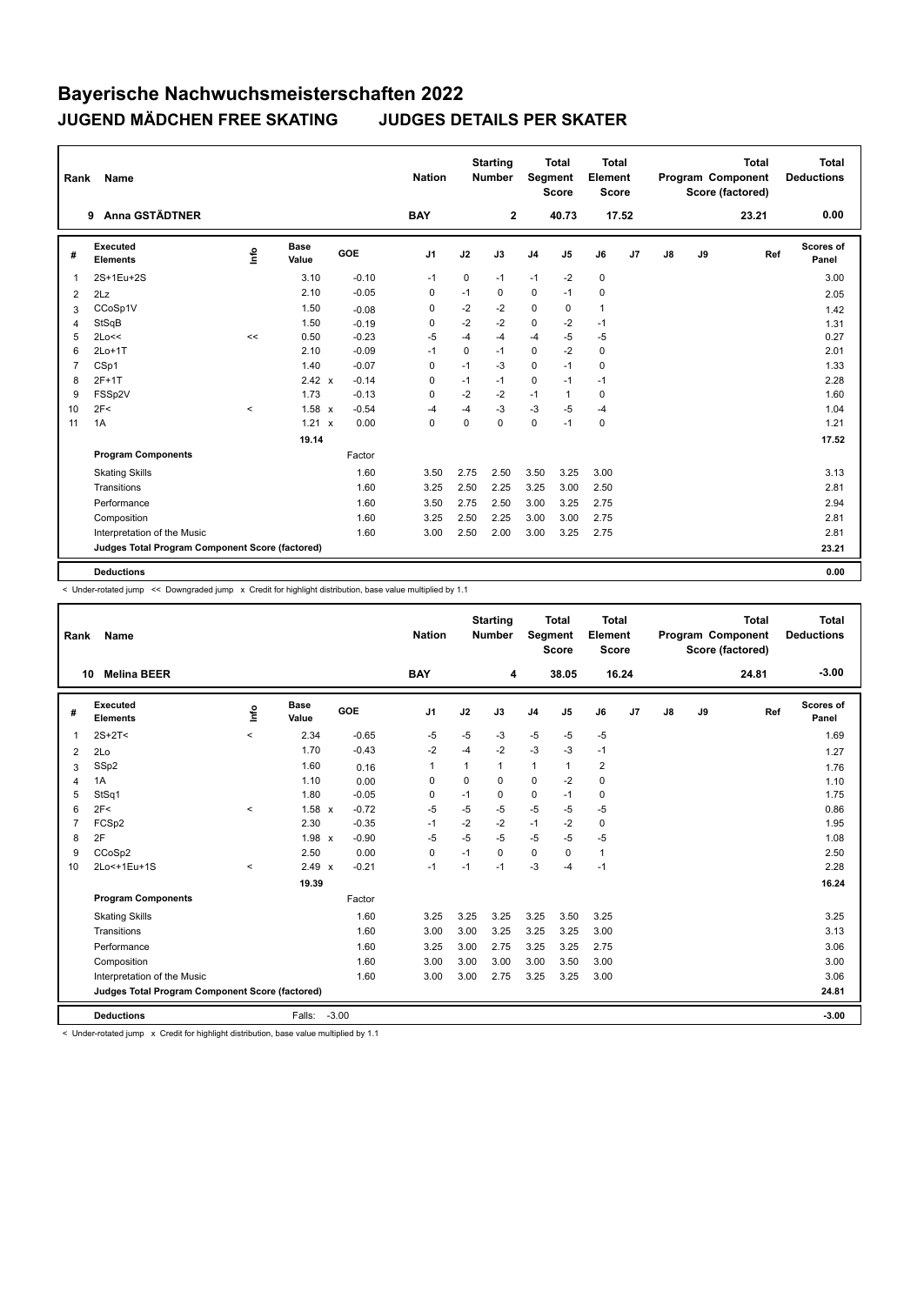| Rank           | Name                                            |       |                      |            | <b>Nation</b>  |             | <b>Starting</b><br><b>Number</b> | Segment        | <b>Total</b><br><b>Score</b> | Total<br>Element<br><b>Score</b> |                |    |    | <b>Total</b><br>Program Component<br>Score (factored) | Total<br><b>Deductions</b> |
|----------------|-------------------------------------------------|-------|----------------------|------------|----------------|-------------|----------------------------------|----------------|------------------------------|----------------------------------|----------------|----|----|-------------------------------------------------------|----------------------------|
|                | <b>Anna GSTÄDTNER</b><br>9                      |       |                      |            | <b>BAY</b>     |             | $\mathbf{2}$                     |                | 40.73                        | 17.52                            |                |    |    | 23.21                                                 | 0.00                       |
| #              | Executed<br><b>Elements</b>                     | ۴ů    | <b>Base</b><br>Value | <b>GOE</b> | J <sub>1</sub> | J2          | J3                               | J <sub>4</sub> | J <sub>5</sub>               | J6                               | J <sub>7</sub> | J8 | J9 | Ref                                                   | Scores of<br>Panel         |
| 1              | 2S+1Eu+2S                                       |       | 3.10                 | $-0.10$    | $-1$           | $\mathbf 0$ | $-1$                             | $-1$           | $-2$                         | $\mathbf 0$                      |                |    |    |                                                       | 3.00                       |
| 2              | 2Lz                                             |       | 2.10                 | $-0.05$    | 0              | $-1$        | 0                                | $\mathbf 0$    | $-1$                         | $\mathbf 0$                      |                |    |    |                                                       | 2.05                       |
| 3              | CCoSp1V                                         |       | 1.50                 | $-0.08$    | 0              | $-2$        | $-2$                             | $\mathbf 0$    | 0                            | $\mathbf{1}$                     |                |    |    |                                                       | 1.42                       |
| 4              | StSqB                                           |       | 1.50                 | $-0.19$    | 0              | $-2$        | $-2$                             | $\mathbf 0$    | $-2$                         | $-1$                             |                |    |    |                                                       | 1.31                       |
| 5              | 2Lo<<                                           | <<    | 0.50                 | $-0.23$    | $-5$           | $-4$        | $-4$                             | $-4$           | $-5$                         | $-5$                             |                |    |    |                                                       | 0.27                       |
| 6              | $2Lo+1T$                                        |       | 2.10                 | $-0.09$    | $-1$           | 0           | $-1$                             | 0              | $-2$                         | $\mathbf 0$                      |                |    |    |                                                       | 2.01                       |
| $\overline{7}$ | CSp1                                            |       | 1.40                 | $-0.07$    | $\Omega$       | $-1$        | $-3$                             | $\mathbf 0$    | $-1$                         | $\mathbf 0$                      |                |    |    |                                                       | 1.33                       |
| 8              | $2F+1T$                                         |       | 2.42 x               | $-0.14$    | 0              | $-1$        | $-1$                             | $\mathbf 0$    | $-1$                         | $-1$                             |                |    |    |                                                       | 2.28                       |
| 9              | FSSp2V                                          |       | 1.73                 | $-0.13$    | 0              | $-2$        | $-2$                             | $-1$           | 1                            | $\mathbf 0$                      |                |    |    |                                                       | 1.60                       |
| 10             | 2F<                                             | $\,<$ | $1.58 \times$        | $-0.54$    | $-4$           | $-4$        | $-3$                             | $-3$           | $-5$                         | $-4$                             |                |    |    |                                                       | 1.04                       |
| 11             | 1A                                              |       | $1.21 \times$        | 0.00       | 0              | $\Omega$    | $\Omega$                         | $\mathbf 0$    | $-1$                         | $\mathbf 0$                      |                |    |    |                                                       | 1.21                       |
|                |                                                 |       | 19.14                |            |                |             |                                  |                |                              |                                  |                |    |    |                                                       | 17.52                      |
|                | <b>Program Components</b>                       |       |                      | Factor     |                |             |                                  |                |                              |                                  |                |    |    |                                                       |                            |
|                | <b>Skating Skills</b>                           |       |                      | 1.60       | 3.50           | 2.75        | 2.50                             | 3.50           | 3.25                         | 3.00                             |                |    |    |                                                       | 3.13                       |
|                | Transitions                                     |       |                      | 1.60       | 3.25           | 2.50        | 2.25                             | 3.25           | 3.00                         | 2.50                             |                |    |    |                                                       | 2.81                       |
|                | Performance                                     |       |                      | 1.60       | 3.50           | 2.75        | 2.50                             | 3.00           | 3.25                         | 2.75                             |                |    |    |                                                       | 2.94                       |
|                | Composition                                     |       |                      | 1.60       | 3.25           | 2.50        | 2.25                             | 3.00           | 3.00                         | 2.75                             |                |    |    |                                                       | 2.81                       |
|                | Interpretation of the Music                     |       |                      | 1.60       | 3.00           | 2.50        | 2.00                             | 3.00           | 3.25                         | 2.75                             |                |    |    |                                                       | 2.81                       |
|                | Judges Total Program Component Score (factored) |       |                      |            |                |             |                                  |                |                              |                                  |                |    |    |                                                       | 23.21                      |
|                | <b>Deductions</b>                               |       |                      |            |                |             |                                  |                |                              |                                  |                |    |    |                                                       | 0.00                       |

< Under-rotated jump << Downgraded jump x Credit for highlight distribution, base value multiplied by 1.1

| Rank           | <b>Name</b>                                     |         |                      |         | <b>Nation</b>  |              | <b>Starting</b><br><b>Number</b> | Segment        | Total<br><b>Score</b> | Total<br>Element<br><b>Score</b> |    |    |    | <b>Total</b><br>Program Component<br>Score (factored) | Total<br><b>Deductions</b> |
|----------------|-------------------------------------------------|---------|----------------------|---------|----------------|--------------|----------------------------------|----------------|-----------------------|----------------------------------|----|----|----|-------------------------------------------------------|----------------------------|
| 10             | <b>Melina BEER</b>                              |         |                      |         | <b>BAY</b>     |              | 4                                |                | 38.05                 | 16.24                            |    |    |    | 24.81                                                 | $-3.00$                    |
| #              | Executed<br><b>Elements</b>                     | lnfo    | <b>Base</b><br>Value | GOE     | J <sub>1</sub> | J2           | J3                               | J <sub>4</sub> | J5                    | J6                               | J7 | J8 | J9 | Ref                                                   | <b>Scores of</b><br>Panel  |
| $\overline{1}$ | $2S+2T<$                                        | $\prec$ | 2.34                 | $-0.65$ | $-5$           | $-5$         | $-3$                             | $-5$           | $-5$                  | $-5$                             |    |    |    |                                                       | 1.69                       |
| 2              | 2Lo                                             |         | 1.70                 | $-0.43$ | $-2$           | $-4$         | $-2$                             | $-3$           | $-3$                  | $-1$                             |    |    |    |                                                       | 1.27                       |
| 3              | SSp2                                            |         | 1.60                 | 0.16    | 1              | $\mathbf{1}$ | $\mathbf{1}$                     | $\mathbf{1}$   | 1                     | $\overline{2}$                   |    |    |    |                                                       | 1.76                       |
| 4              | 1A                                              |         | 1.10                 | 0.00    | 0              | 0            | $\Omega$                         | $\mathbf 0$    | $-2$                  | $\mathbf 0$                      |    |    |    |                                                       | 1.10                       |
| 5              | StSq1                                           |         | 1.80                 | $-0.05$ | 0              | $-1$         | 0                                | $\pmb{0}$      | $-1$                  | 0                                |    |    |    |                                                       | 1.75                       |
| 6              | 2F<                                             | $\prec$ | $1.58 \times$        | $-0.72$ | -5             | $-5$         | $-5$                             | $-5$           | $-5$                  | $-5$                             |    |    |    |                                                       | 0.86                       |
| $\overline{7}$ | FCSp2                                           |         | 2.30                 | $-0.35$ | $-1$           | $-2$         | $-2$                             | $-1$           | $-2$                  | $\mathbf 0$                      |    |    |    |                                                       | 1.95                       |
| 8              | 2F                                              |         | $1.98 \times$        | $-0.90$ | $-5$           | $-5$         | $-5$                             | $-5$           | $-5$                  | $-5$                             |    |    |    |                                                       | 1.08                       |
| 9              | CCoSp2                                          |         | 2.50                 | 0.00    | 0              | $-1$         | $\Omega$                         | 0              | $\Omega$              | $\mathbf{1}$                     |    |    |    |                                                       | 2.50                       |
| 10             | 2Lo<+1Eu+1S                                     | $\prec$ | $2.49 \times$        | $-0.21$ | $-1$           | $-1$         | $-1$                             | $-3$           | $-4$                  | $-1$                             |    |    |    |                                                       | 2.28                       |
|                |                                                 |         | 19.39                |         |                |              |                                  |                |                       |                                  |    |    |    |                                                       | 16.24                      |
|                | <b>Program Components</b>                       |         |                      | Factor  |                |              |                                  |                |                       |                                  |    |    |    |                                                       |                            |
|                | <b>Skating Skills</b>                           |         |                      | 1.60    | 3.25           | 3.25         | 3.25                             | 3.25           | 3.50                  | 3.25                             |    |    |    |                                                       | 3.25                       |
|                | Transitions                                     |         |                      | 1.60    | 3.00           | 3.00         | 3.25                             | 3.25           | 3.25                  | 3.00                             |    |    |    |                                                       | 3.13                       |
|                | Performance                                     |         |                      | 1.60    | 3.25           | 3.00         | 2.75                             | 3.25           | 3.25                  | 2.75                             |    |    |    |                                                       | 3.06                       |
|                | Composition                                     |         |                      | 1.60    | 3.00           | 3.00         | 3.00                             | 3.00           | 3.50                  | 3.00                             |    |    |    |                                                       | 3.00                       |
|                | Interpretation of the Music                     |         |                      | 1.60    | 3.00           | 3.00         | 2.75                             | 3.25           | 3.25                  | 3.00                             |    |    |    |                                                       | 3.06                       |
|                | Judges Total Program Component Score (factored) |         |                      |         |                |              |                                  |                |                       |                                  |    |    |    |                                                       | 24.81                      |
|                | <b>Deductions</b>                               |         | Falls: -3.00         |         |                |              |                                  |                |                       |                                  |    |    |    |                                                       | $-3.00$                    |

< Under-rotated jump x Credit for highlight distribution, base value multiplied by 1.1